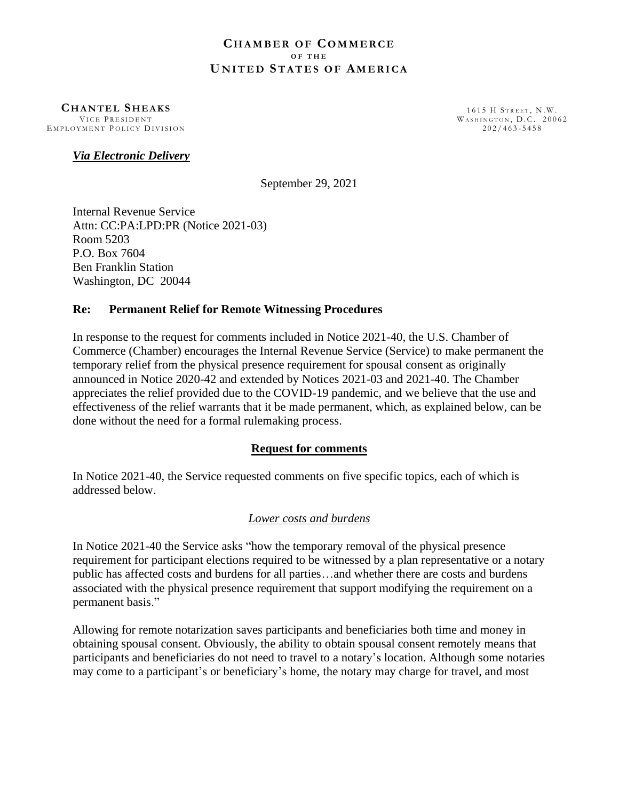#### **CH A M B E R O F CO M M E R C E O F T H E U N I T E D ST A T E S O F AM E R I C A**

**C H A N T E L S H E A K S** VICE PRESIDENT EMPLOYMENT POLICY DIVISION

1615 H STREET, N.W. WASHINGTON, D.C. 20062  $202/463 - 5458$ 

### *Via Electronic Delivery*

September 29, 2021

Internal Revenue Service Attn: CC:PA:LPD:PR (Notice 2021-03) Room 5203 P.O. Box 7604 Ben Franklin Station Washington, DC 20044

### **Re: Permanent Relief for Remote Witnessing Procedures**

In response to the request for comments included in Notice 2021-40, the U.S. Chamber of Commerce (Chamber) encourages the Internal Revenue Service (Service) to make permanent the temporary relief from the physical presence requirement for spousal consent as originally announced in Notice 2020-42 and extended by Notices 2021-03 and 2021-40. The Chamber appreciates the relief provided due to the COVID-19 pandemic, and we believe that the use and effectiveness of the relief warrants that it be made permanent, which, as explained below, can be done without the need for a formal rulemaking process.

### **Request for comments**

In Notice 2021-40, the Service requested comments on five specific topics, each of which is addressed below.

# *Lower costs and burdens*

In Notice 2021-40 the Service asks "how the temporary removal of the physical presence requirement for participant elections required to be witnessed by a plan representative or a notary public has affected costs and burdens for all parties…and whether there are costs and burdens associated with the physical presence requirement that support modifying the requirement on a permanent basis."

Allowing for remote notarization saves participants and beneficiaries both time and money in obtaining spousal consent. Obviously, the ability to obtain spousal consent remotely means that participants and beneficiaries do not need to travel to a notary's location. Although some notaries may come to a participant's or beneficiary's home, the notary may charge for travel, and most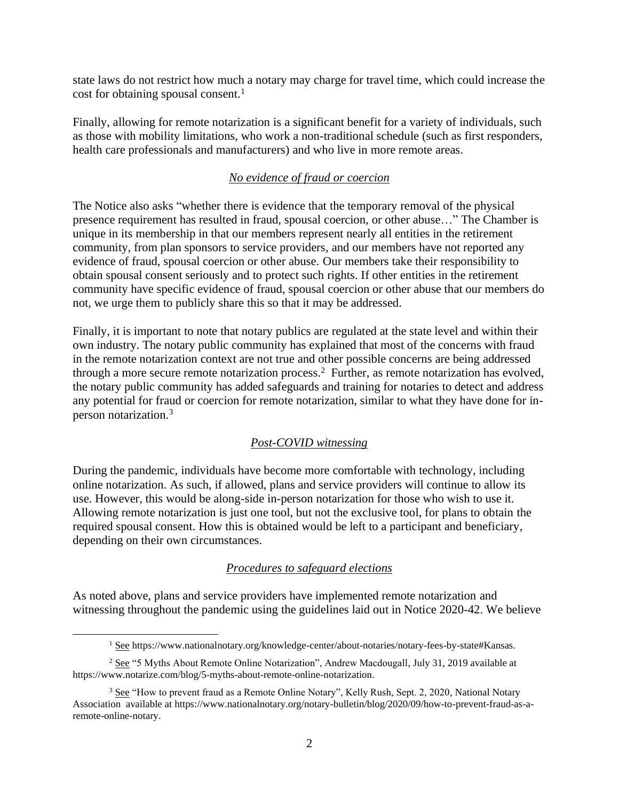state laws do not restrict how much a notary may charge for travel time, which could increase the cost for obtaining spousal consent. $<sup>1</sup>$ </sup>

Finally, allowing for remote notarization is a significant benefit for a variety of individuals, such as those with mobility limitations, who work a non-traditional schedule (such as first responders, health care professionals and manufacturers) and who live in more remote areas.

## *No evidence of fraud or coercion*

The Notice also asks "whether there is evidence that the temporary removal of the physical presence requirement has resulted in fraud, spousal coercion, or other abuse…" The Chamber is unique in its membership in that our members represent nearly all entities in the retirement community, from plan sponsors to service providers, and our members have not reported any evidence of fraud, spousal coercion or other abuse. Our members take their responsibility to obtain spousal consent seriously and to protect such rights. If other entities in the retirement community have specific evidence of fraud, spousal coercion or other abuse that our members do not, we urge them to publicly share this so that it may be addressed.

Finally, it is important to note that notary publics are regulated at the state level and within their own industry. The notary public community has explained that most of the concerns with fraud in the remote notarization context are not true and other possible concerns are being addressed through a more secure remote notarization process.<sup>2</sup> Further, as remote notarization has evolved, the notary public community has added safeguards and training for notaries to detect and address any potential for fraud or coercion for remote notarization, similar to what they have done for inperson notarization.<sup>3</sup>

# *Post-COVID witnessing*

During the pandemic, individuals have become more comfortable with technology, including online notarization. As such, if allowed, plans and service providers will continue to allow its use. However, this would be along-side in-person notarization for those who wish to use it. Allowing remote notarization is just one tool, but not the exclusive tool, for plans to obtain the required spousal consent. How this is obtained would be left to a participant and beneficiary, depending on their own circumstances.

### *Procedures to safeguard elections*

As noted above, plans and service providers have implemented remote notarization and witnessing throughout the pandemic using the guidelines laid out in Notice 2020-42. We believe

<sup>1</sup> See https://www.nationalnotary.org/knowledge-center/about-notaries/notary-fees-by-state#Kansas.

<sup>2</sup> See "5 Myths About Remote Online Notarization", Andrew Macdougall, July 31, 2019 available at https://www.notarize.com/blog/5-myths-about-remote-online-notarization.

<sup>&</sup>lt;sup>3</sup> See "How to prevent fraud as a Remote Online Notary", Kelly Rush, Sept. 2, 2020, National Notary Association available at https://www.nationalnotary.org/notary-bulletin/blog/2020/09/how-to-prevent-fraud-as-aremote-online-notary.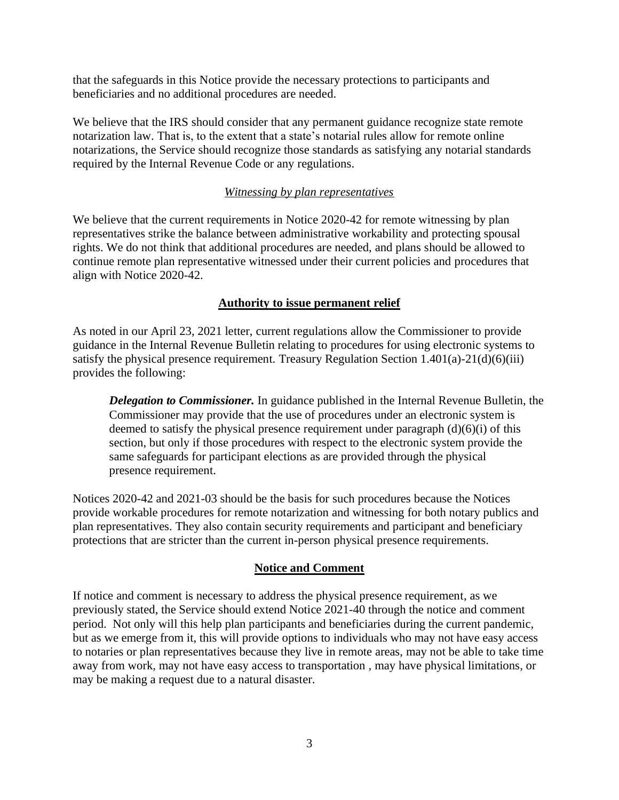that the safeguards in this Notice provide the necessary protections to participants and beneficiaries and no additional procedures are needed.

We believe that the IRS should consider that any permanent guidance recognize state remote notarization law. That is, to the extent that a state's notarial rules allow for remote online notarizations, the Service should recognize those standards as satisfying any notarial standards required by the Internal Revenue Code or any regulations.

# *Witnessing by plan representatives*

We believe that the current requirements in Notice 2020-42 for remote witnessing by plan representatives strike the balance between administrative workability and protecting spousal rights. We do not think that additional procedures are needed, and plans should be allowed to continue remote plan representative witnessed under their current policies and procedures that align with Notice 2020-42.

# **Authority to issue permanent relief**

As noted in our April 23, 2021 letter, current regulations allow the Commissioner to provide guidance in the Internal Revenue Bulletin relating to procedures for using electronic systems to satisfy the physical presence requirement. Treasury Regulation Section  $1.401(a) - 21(d)(6)(iii)$ provides the following:

*Delegation to Commissioner.* In guidance published in the Internal Revenue Bulletin, the Commissioner may provide that the use of procedures under an electronic system is deemed to satisfy the physical presence requirement under paragraph (d)(6)(i) of this section, but only if those procedures with respect to the electronic system provide the same safeguards for participant elections as are provided through the physical presence requirement.

Notices 2020-42 and 2021-03 should be the basis for such procedures because the Notices provide workable procedures for remote notarization and witnessing for both notary publics and plan representatives. They also contain security requirements and participant and beneficiary protections that are stricter than the current in-person physical presence requirements.

### **Notice and Comment**

If notice and comment is necessary to address the physical presence requirement, as we previously stated, the Service should extend Notice 2021-40 through the notice and comment period. Not only will this help plan participants and beneficiaries during the current pandemic, but as we emerge from it, this will provide options to individuals who may not have easy access to notaries or plan representatives because they live in remote areas, may not be able to take time away from work, may not have easy access to transportation , may have physical limitations, or may be making a request due to a natural disaster.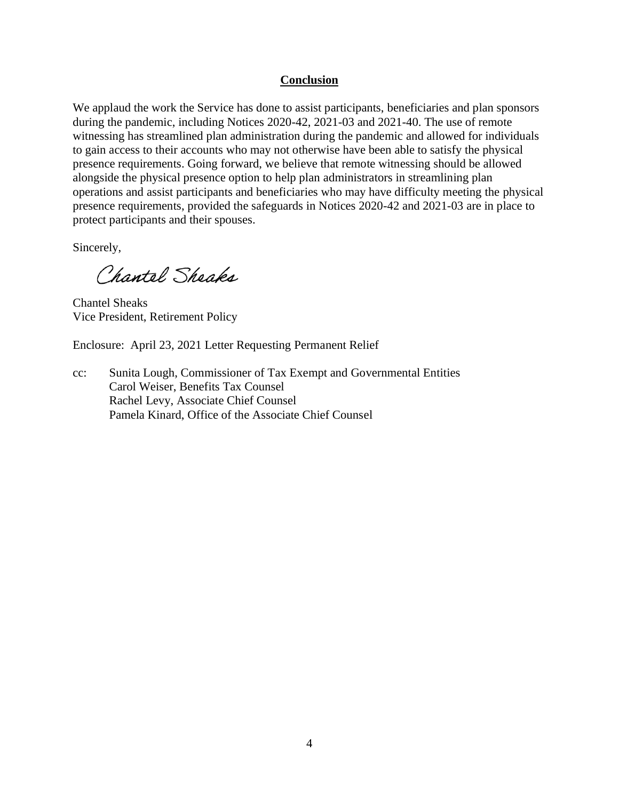## **Conclusion**

We applaud the work the Service has done to assist participants, beneficiaries and plan sponsors during the pandemic, including Notices 2020-42, 2021-03 and 2021-40. The use of remote witnessing has streamlined plan administration during the pandemic and allowed for individuals to gain access to their accounts who may not otherwise have been able to satisfy the physical presence requirements. Going forward, we believe that remote witnessing should be allowed alongside the physical presence option to help plan administrators in streamlining plan operations and assist participants and beneficiaries who may have difficulty meeting the physical presence requirements, provided the safeguards in Notices 2020-42 and 2021-03 are in place to protect participants and their spouses.

Sincerely,

Chantel Sheaks

Chantel Sheaks Vice President, Retirement Policy

Enclosure: April 23, 2021 Letter Requesting Permanent Relief

cc: Sunita Lough, Commissioner of Tax Exempt and Governmental Entities Carol Weiser, Benefits Tax Counsel Rachel Levy, Associate Chief Counsel Pamela Kinard, Office of the Associate Chief Counsel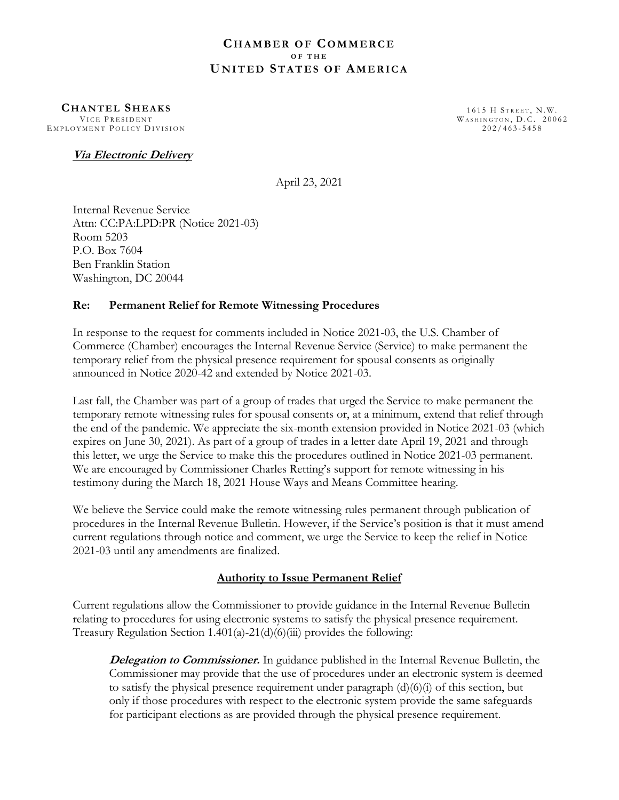#### **C H A M B E R O F CO M M E R C E O F T H E U N I T E D ST A T E S O F AM E R I C A**

**CH A N T E L SH E A K S** VICE PRESIDENT EMPLOYMENT POLICY DIVISION

1615 H STREET, N.W. WASHINGTON, D.C. 20062  $202/463 - 5458$ 

### **Via Electronic Delivery**

April 23, 2021

Internal Revenue Service Attn: CC:PA:LPD:PR (Notice 2021-03) Room 5203 P.O. Box 7604 Ben Franklin Station Washington, DC 20044

### **Re: Permanent Relief for Remote Witnessing Procedures**

In response to the request for comments included in Notice 2021-03, the U.S. Chamber of Commerce (Chamber) encourages the Internal Revenue Service (Service) to make permanent the temporary relief from the physical presence requirement for spousal consents as originally announced in Notice 2020-42 and extended by Notice 2021-03.

Last fall, the Chamber was part of a group of trades that urged the Service to make permanent the temporary remote witnessing rules for spousal consents or, at a minimum, extend that relief through the end of the pandemic. We appreciate the six-month extension provided in Notice 2021-03 (which expires on June 30, 2021). As part of a group of trades in a letter date April 19, 2021 and through this letter, we urge the Service to make this the procedures outlined in Notice 2021-03 permanent. We are encouraged by Commissioner Charles Retting's support for remote witnessing in his testimony during the March 18, 2021 House Ways and Means Committee hearing.

We believe the Service could make the remote witnessing rules permanent through publication of procedures in the Internal Revenue Bulletin. However, if the Service's position is that it must amend current regulations through notice and comment, we urge the Service to keep the relief in Notice 2021-03 until any amendments are finalized.

### **Authority to Issue Permanent Relief**

Current regulations allow the Commissioner to provide guidance in the Internal Revenue Bulletin relating to procedures for using electronic systems to satisfy the physical presence requirement. Treasury Regulation Section 1.401(a)-21(d)(6)(iii) provides the following:

**Delegation to Commissioner.** In guidance published in the Internal Revenue Bulletin, the Commissioner may provide that the use of procedures under an electronic system is deemed to satisfy the physical presence requirement under paragraph  $(d)(6)(i)$  of this section, but only if those procedures with respect to the electronic system provide the same safeguards for participant elections as are provided through the physical presence requirement.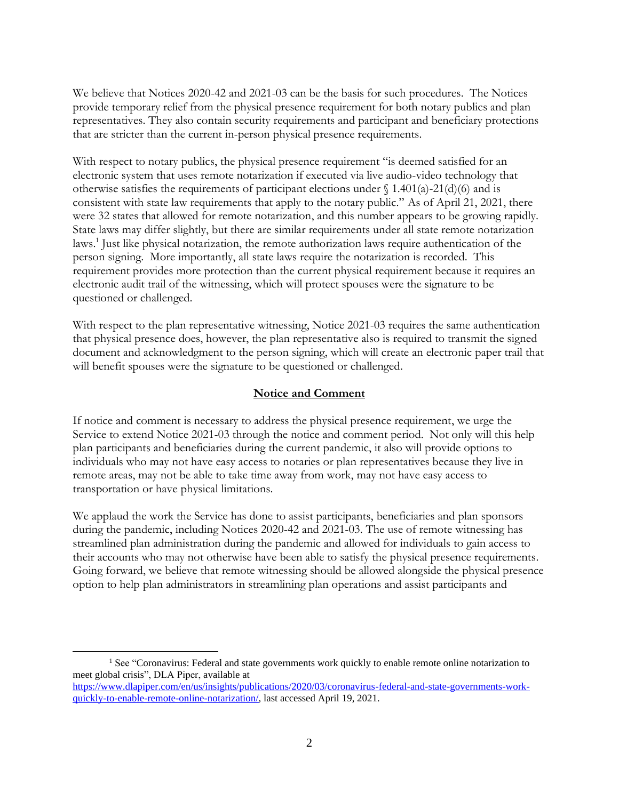We believe that Notices 2020-42 and 2021-03 can be the basis for such procedures. The Notices provide temporary relief from the physical presence requirement for both notary publics and plan representatives. They also contain security requirements and participant and beneficiary protections that are stricter than the current in-person physical presence requirements.

With respect to notary publics, the physical presence requirement "is deemed satisfied for an electronic system that uses remote notarization if executed via live audio-video technology that otherwise satisfies the requirements of participant elections under  $\int$  1.401(a)-21(d)(6) and is consistent with state law requirements that apply to the notary public." As of April 21, 2021, there were 32 states that allowed for remote notarization, and this number appears to be growing rapidly. State laws may differ slightly, but there are similar requirements under all state remote notarization laws.<sup>1</sup> Just like physical notarization, the remote authorization laws require authentication of the person signing. More importantly, all state laws require the notarization is recorded. This requirement provides more protection than the current physical requirement because it requires an electronic audit trail of the witnessing, which will protect spouses were the signature to be questioned or challenged.

With respect to the plan representative witnessing, Notice 2021-03 requires the same authentication that physical presence does, however, the plan representative also is required to transmit the signed document and acknowledgment to the person signing, which will create an electronic paper trail that will benefit spouses were the signature to be questioned or challenged.

#### **Notice and Comment**

If notice and comment is necessary to address the physical presence requirement, we urge the Service to extend Notice 2021-03 through the notice and comment period. Not only will this help plan participants and beneficiaries during the current pandemic, it also will provide options to individuals who may not have easy access to notaries or plan representatives because they live in remote areas, may not be able to take time away from work, may not have easy access to transportation or have physical limitations.

We applaud the work the Service has done to assist participants, beneficiaries and plan sponsors during the pandemic, including Notices 2020-42 and 2021-03. The use of remote witnessing has streamlined plan administration during the pandemic and allowed for individuals to gain access to their accounts who may not otherwise have been able to satisfy the physical presence requirements. Going forward, we believe that remote witnessing should be allowed alongside the physical presence option to help plan administrators in streamlining plan operations and assist participants and

<sup>&</sup>lt;sup>1</sup> See "Coronavirus: Federal and state governments work quickly to enable remote online notarization to meet global crisis", DLA Piper, available at

[https://www.dlapiper.com/en/us/insights/publications/2020/03/coronavirus-federal-and-state-governments-work](https://www.dlapiper.com/en/us/insights/publications/2020/03/coronavirus-federal-and-state-governments-work-quickly-to-enable-remote-online-notarization/)[quickly-to-enable-remote-online-notarization/,](https://www.dlapiper.com/en/us/insights/publications/2020/03/coronavirus-federal-and-state-governments-work-quickly-to-enable-remote-online-notarization/) last accessed April 19, 2021.